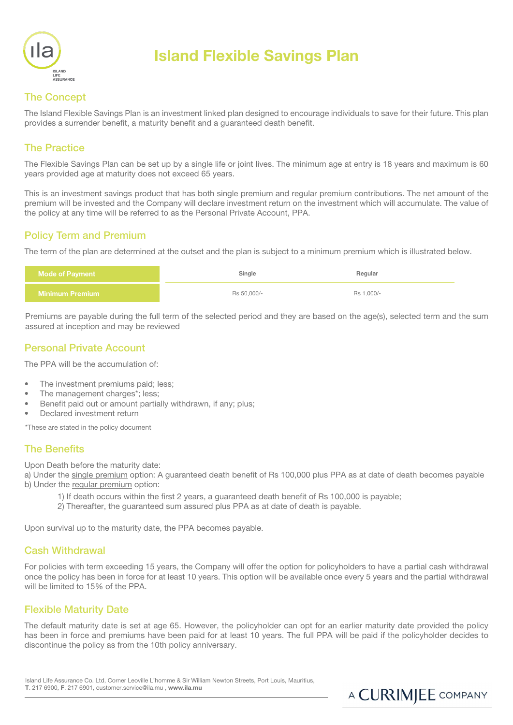

# Island Flexible Savings Plan

# The Concept

The Island Flexible Savings Plan is an investment linked plan designed to encourage individuals to save for their future. This plan provides a surrender benefit, a maturity benefit and a guaranteed death benefit.

## The Practice

The Flexible Savings Plan can be set up by a single life or joint lives. The minimum age at entry is 18 years and maximum is 60 years provided age at maturity does not exceed 65 years.

This is an investment savings product that has both single premium and regular premium contributions. The net amount of the premium will be invested and the Company will declare investment return on the investment which will accumulate. The value of the policy at any time will be referred to as the Personal Private Account, PPA.

## Policy Term and Premium

The term of the plan are determined at the outset and the plan is subject to a minimum premium which is illustrated below.

| <b>Mode of Payment</b> | Single      | Regular    |  |
|------------------------|-------------|------------|--|
| <b>Minimum Premium</b> | Rs 50.000/- | Rs 1,000/- |  |

Premiums are payable during the full term of the selected period and they are based on the age(s), selected term and the sum assured at inception and may be reviewed

## Personal Private Account

The PPA will be the accumulation of:

- The investment premiums paid; less:
- The management charges\*; less:
- Benefit paid out or amount partially withdrawn, if any; plus;
- Declared investment return

\*These are stated in the policy document

## The Benefits

Upon Death before the maturity date:

a) Under the single premium option: A guaranteed death benefit of Rs 100,000 plus PPA as at date of death becomes payable b) Under the regular premium option:

- 1) If death occurs within the first 2 years, a guaranteed death benefit of Rs 100,000 is payable;
- 2) Thereafter, the guaranteed sum assured plus PPA as at date of death is payable.

Upon survival up to the maturity date, the PPA becomes payable.

## Cash Withdrawal

For policies with term exceeding 15 years, the Company will offer the option for policyholders to have a partial cash withdrawal once the policy has been in force for at least 10 years. This option will be available once every 5 years and the partial withdrawal will be limited to 15% of the PPA.

## Flexible Maturity Date

The default maturity date is set at age 65. However, the policyholder can opt for an earlier maturity date provided the policy has been in force and premiums have been paid for at least 10 years. The full PPA will be paid if the policyholder decides to discontinue the policy as from the 10th policy anniversary.